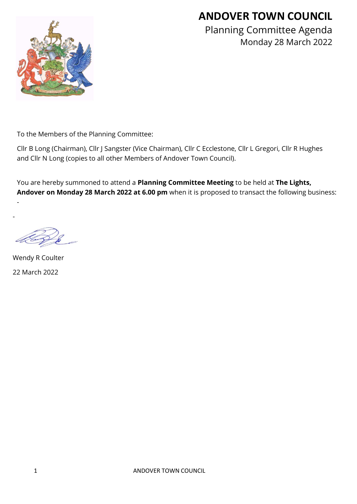# **ANDOVER TOWN COUNCIL**



Planning Committee Agenda Monday 28 March 2022

To the Members of the Planning Committee:

Cllr B Long (Chairman), Cllr J Sangster (Vice Chairman), Cllr C Ecclestone, Cllr L Gregori, Cllr R Hughes and Cllr N Long (copies to all other Members of Andover Town Council).

You are hereby summoned to attend a **Planning Committee Meeting** to be held at **The Lights, Andover on Monday 28 March 2022 at 6.00 pm** when it is proposed to transact the following business:

Wendy R Coulter 22 March 2022

-

-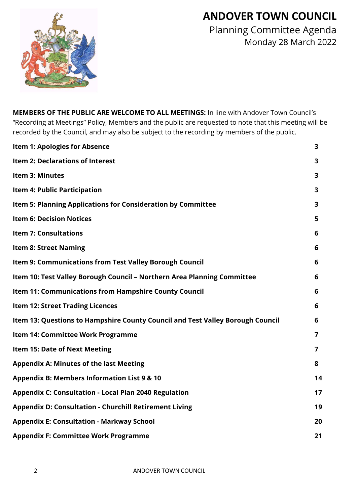# **ANDOVER TOWN COUNCIL**



Planning Committee Agenda Monday 28 March 2022

**MEMBERS OF THE PUBLIC ARE WELCOME TO ALL MEETINGS:** In line with Andover Town Council's "Recording at Meetings" Policy, Members and the public are requested to note that this meeting will be recorded by the Council, and may also be subject to the recording by members of the public.

| <b>Item 1: Apologies for Absence</b>                                           | 3              |
|--------------------------------------------------------------------------------|----------------|
| Item 2: Declarations of Interest                                               | 3              |
| Item 3: Minutes                                                                | 3              |
| <b>Item 4: Public Participation</b>                                            | 3              |
| Item 5: Planning Applications for Consideration by Committee                   | 3              |
| <b>Item 6: Decision Notices</b>                                                | 5              |
| <b>Item 7: Consultations</b>                                                   | 6              |
| <b>Item 8: Street Naming</b>                                                   | 6              |
| <b>Item 9: Communications from Test Valley Borough Council</b>                 | 6              |
| Item 10: Test Valley Borough Council - Northern Area Planning Committee        | 6              |
| <b>Item 11: Communications from Hampshire County Council</b>                   | 6              |
| <b>Item 12: Street Trading Licences</b>                                        | 6              |
| Item 13: Questions to Hampshire County Council and Test Valley Borough Council | 6              |
| Item 14: Committee Work Programme                                              | 7              |
| <b>Item 15: Date of Next Meeting</b>                                           | $\overline{7}$ |
| <b>Appendix A: Minutes of the last Meeting</b>                                 | 8              |
| <b>Appendix B: Members Information List 9 &amp; 10</b>                         | 14             |
| <b>Appendix C: Consultation - Local Plan 2040 Regulation</b>                   | 17             |
| <b>Appendix D: Consultation - Churchill Retirement Living</b>                  | 19             |
| <b>Appendix E: Consultation - Markway School</b>                               | 20             |
| <b>Appendix F: Committee Work Programme</b>                                    | 21             |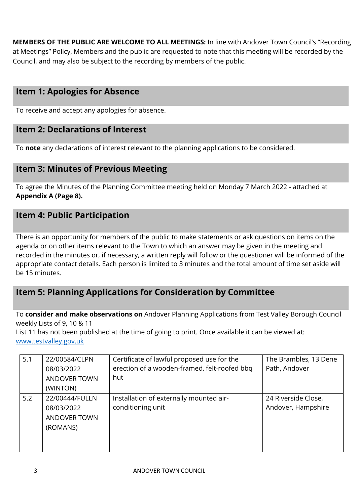**MEMBERS OF THE PUBLIC ARE WELCOME TO ALL MEETINGS:** In line with Andover Town Council's "Recording at Meetings" Policy, Members and the public are requested to note that this meeting will be recorded by the Council, and may also be subject to the recording by members of the public.

# **Item 1: Apologies for Absence**

To receive and accept any apologies for absence.

## **Item 2: Declarations of Interest**

To **note** any declarations of interest relevant to the planning applications to be considered.

## **Item 3: Minutes of Previous Meeting**

To agree the Minutes of the Planning Committee meeting held on Monday 7 March 2022 - attached at **Appendix A (Page 8).**

# **Item 4: Public Participation**

There is an opportunity for members of the public to make statements or ask questions on items on the agenda or on other items relevant to the Town to which an answer may be given in the meeting and recorded in the minutes or, if necessary, a written reply will follow or the questioner will be informed of the appropriate contact details. Each person is limited to 3 minutes and the total amount of time set aside will be 15 minutes.

# **Item 5: Planning Applications for Consideration by Committee**

To **consider and make observations on** Andover Planning Applications from Test Valley Borough Council weekly Lists of 9, 10 & 11

List 11 has not been published at the time of going to print. Once available it can be viewed at: [www.testvalley.gov.uk](http://www.testvalley.gov.uk/)

| 5.1 | 22/00584/CLPN<br>08/03/2022<br><b>ANDOVER TOWN</b> | Certificate of lawful proposed use for the<br>erection of a wooden-framed, felt-roofed bbq<br>hut | The Brambles, 13 Dene<br>Path, Andover |
|-----|----------------------------------------------------|---------------------------------------------------------------------------------------------------|----------------------------------------|
|     | (WINTON)                                           |                                                                                                   |                                        |
| 5.2 | 22/00444/FULLN                                     | Installation of externally mounted air-                                                           | 24 Riverside Close,                    |
|     | 08/03/2022                                         | conditioning unit                                                                                 | Andover, Hampshire                     |
|     | ANDOVER TOWN                                       |                                                                                                   |                                        |
|     | (ROMANS)                                           |                                                                                                   |                                        |
|     |                                                    |                                                                                                   |                                        |
|     |                                                    |                                                                                                   |                                        |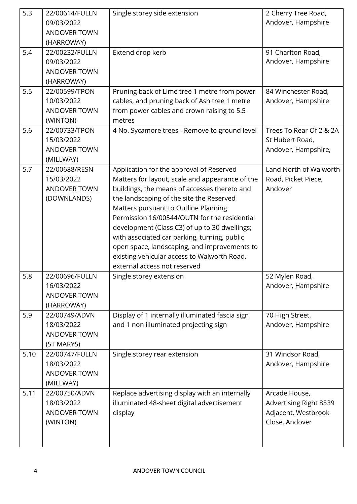| 5.3  | 22/00614/FULLN<br>09/03/2022<br><b>ANDOVER TOWN</b><br>(HARROWAY) | Single storey side extension                                                                                                                                                                                                                                                                                                                                                                                                                                                                                    | 2 Cherry Tree Road,<br>Andover, Hampshire                                               |
|------|-------------------------------------------------------------------|-----------------------------------------------------------------------------------------------------------------------------------------------------------------------------------------------------------------------------------------------------------------------------------------------------------------------------------------------------------------------------------------------------------------------------------------------------------------------------------------------------------------|-----------------------------------------------------------------------------------------|
| 5.4  | 22/00232/FULLN<br>09/03/2022<br><b>ANDOVER TOWN</b><br>(HARROWAY) | Extend drop kerb                                                                                                                                                                                                                                                                                                                                                                                                                                                                                                | 91 Charlton Road,<br>Andover, Hampshire                                                 |
| 5.5  | 22/00599/TPON<br>10/03/2022<br><b>ANDOVER TOWN</b><br>(WINTON)    | Pruning back of Lime tree 1 metre from power<br>cables, and pruning back of Ash tree 1 metre<br>from power cables and crown raising to 5.5<br>metres                                                                                                                                                                                                                                                                                                                                                            | 84 Winchester Road,<br>Andover, Hampshire                                               |
| 5.6  | 22/00733/TPON<br>15/03/2022<br><b>ANDOVER TOWN</b><br>(MILLWAY)   | 4 No. Sycamore trees - Remove to ground level                                                                                                                                                                                                                                                                                                                                                                                                                                                                   | Trees To Rear Of 2 & 2A<br>St Hubert Road,<br>Andover, Hampshire,                       |
| 5.7  | 22/00688/RESN<br>15/03/2022<br><b>ANDOVER TOWN</b><br>(DOWNLANDS) | Application for the approval of Reserved<br>Matters for layout, scale and appearance of the<br>buildings, the means of accesses thereto and<br>the landscaping of the site the Reserved<br>Matters pursuant to Outline Planning<br>Permission 16/00544/OUTN for the residential<br>development (Class C3) of up to 30 dwellings;<br>with associated car parking, turning, public<br>open space, landscaping, and improvements to<br>existing vehicular access to Walworth Road,<br>external access not reserved | Land North of Walworth<br>Road, Picket Piece,<br>Andover                                |
| 5.8  | 22/00696/FULLN<br>16/03/2022<br><b>ANDOVER TOWN</b><br>(HARROWAY) | Single storey extension                                                                                                                                                                                                                                                                                                                                                                                                                                                                                         | 52 Mylen Road,<br>Andover, Hampshire                                                    |
| 5.9  | 22/00749/ADVN<br>18/03/2022<br><b>ANDOVER TOWN</b><br>(ST MARYS)  | Display of 1 internally illuminated fascia sign<br>and 1 non illuminated projecting sign                                                                                                                                                                                                                                                                                                                                                                                                                        | 70 High Street,<br>Andover, Hampshire                                                   |
| 5.10 | 22/00747/FULLN<br>18/03/2022<br><b>ANDOVER TOWN</b><br>(MILLWAY)  | Single storey rear extension                                                                                                                                                                                                                                                                                                                                                                                                                                                                                    | 31 Windsor Road,<br>Andover, Hampshire                                                  |
| 5.11 | 22/00750/ADVN<br>18/03/2022<br><b>ANDOVER TOWN</b><br>(WINTON)    | Replace advertising display with an internally<br>illuminated 48-sheet digital advertisement<br>display                                                                                                                                                                                                                                                                                                                                                                                                         | Arcade House,<br><b>Advertising Right 8539</b><br>Adjacent, Westbrook<br>Close, Andover |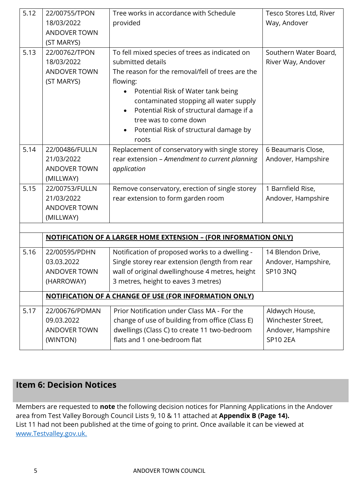| 5.12 | 22/00755/TPON<br>18/03/2022<br><b>ANDOVER TOWN</b><br>(ST MARYS) | Tree works in accordance with Schedule<br>provided                                                                                                                                                                                                                                                                                                                                 | Tesco Stores Ltd, River<br>Way, Andover                                       |
|------|------------------------------------------------------------------|------------------------------------------------------------------------------------------------------------------------------------------------------------------------------------------------------------------------------------------------------------------------------------------------------------------------------------------------------------------------------------|-------------------------------------------------------------------------------|
| 5.13 | 22/00762/TPON<br>18/03/2022<br><b>ANDOVER TOWN</b><br>(ST MARYS) | To fell mixed species of trees as indicated on<br>submitted details<br>The reason for the removal/fell of trees are the<br>flowing:<br>Potential Risk of Water tank being<br>$\bullet$<br>contaminated stopping all water supply<br>Potential Risk of structural damage if a<br>$\bullet$<br>tree was to come down<br>Potential Risk of structural damage by<br>$\bullet$<br>roots | Southern Water Board,<br>River Way, Andover                                   |
| 5.14 | 22/00486/FULLN<br>21/03/2022<br><b>ANDOVER TOWN</b><br>(MILLWAY) | Replacement of conservatory with single storey<br>rear extension - Amendment to current planning<br>application                                                                                                                                                                                                                                                                    | 6 Beaumaris Close,<br>Andover, Hampshire                                      |
| 5.15 | 22/00753/FULLN<br>21/03/2022<br><b>ANDOVER TOWN</b><br>(MILLWAY) | Remove conservatory, erection of single storey<br>rear extension to form garden room                                                                                                                                                                                                                                                                                               | 1 Barnfield Rise,<br>Andover, Hampshire                                       |
|      |                                                                  |                                                                                                                                                                                                                                                                                                                                                                                    |                                                                               |
|      |                                                                  | <b>NOTIFICATION OF A LARGER HOME EXTENSION - (FOR INFORMATION ONLY)</b>                                                                                                                                                                                                                                                                                                            |                                                                               |
| 5.16 | 22/00595/PDHN<br>03.03.2022<br>ANDOVER TOWN<br>(HARROWAY)        | Notification of proposed works to a dwelling -<br>Single storey rear extension (length from rear<br>wall of original dwellinghouse 4 metres, height<br>3 metres, height to eaves 3 metres)                                                                                                                                                                                         | 14 Blendon Drive,<br>Andover, Hampshire,<br><b>SP10 3NQ</b>                   |
|      |                                                                  | <b>NOTIFICATION OF A CHANGE OF USE (FOR INFORMATION ONLY)</b>                                                                                                                                                                                                                                                                                                                      |                                                                               |
| 5.17 | 22/00676/PDMAN<br>09.03.2022<br>ANDOVER TOWN<br>(WINTON)         | Prior Notification under Class MA - For the<br>change of use of building from office (Class E)<br>dwellings (Class C) to create 11 two-bedroom<br>flats and 1 one-bedroom flat                                                                                                                                                                                                     | Aldwych House,<br>Winchester Street,<br>Andover, Hampshire<br><b>SP10 2EA</b> |

# **Item 6: Decision Notices**

Members are requested to **note** the following decision notices for Planning Applications in the Andover area from Test Valley Borough Council Lists 9, 10 & 11 attached at **Appendix B (Page 14).**  List 11 had not been published at the time of going to print. Once available it can be viewed at [www.Testvalley.gov.uk.](http://www.testvalley.gov.uk/)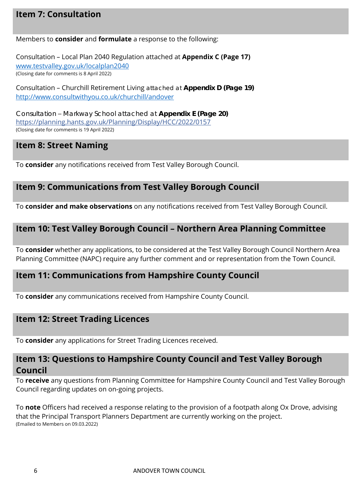# **Item 7: Consultation**

#### Members to **consider** and **formulate** a response to the following:

Consultation – Local Plan 2040 Regulation attached at **Appendix C (Page 17)** [www.testvalley.gov.uk/localplan2040](https://protect-eu.mimecast.com/s/u1Y8CEZQYsW0Ziw_Z9A?domain=testvalley.gov.uk) (Closing date for comments is 8 April 2022)

Consultation – Churchill Retirement Living attached at **Appendix D (Page 19)** [http://www.consultwithyou.co.uk/churchill/andover](https://protect-eu.mimecast.com/s/4Y0xC5l0Bh0zQUzF62o?domain=consultwithyou.co.uk)

Consultation – Markway School attached at **Appendix E (Page 20)** [https://planning.hants.gov.uk/Planning/Display/HCC/2022/0157](https://protect-eu.mimecast.com/s/teEdCovJ3TX0nuVzW7E?domain=planning.hants.gov.uk) (Closing date for comments is 19 April 2022)

## **Item 8: Street Naming**

To **consider** any notifications received from Test Valley Borough Council.

## **Item 9: Communications from Test Valley Borough Council**

To **consider and make observations** on any notifications received from Test Valley Borough Council.

## **Item 10: Test Valley Borough Council – Northern Area Planning Committee**

To **consider** whether any applications, to be considered at the Test Valley Borough Council Northern Area Planning Committee (NAPC) require any further comment and or representation from the Town Council.

## **Item 11: Communications from Hampshire County Council**

To **consider** any communications received from Hampshire County Council.

## **Item 12: Street Trading Licences**

To **consider** any applications for Street Trading Licences received.

## **Item 13: Questions to Hampshire County Council and Test Valley Borough Council**

To **receive** any questions from Planning Committee for Hampshire County Council and Test Valley Borough Council regarding updates on on-going projects.

To **note** Officers had received a response relating to the provision of a footpath along Ox Drove, advising that the Principal Transport Planners Department are currently working on the project. (Emailed to Members on 09.03.2022)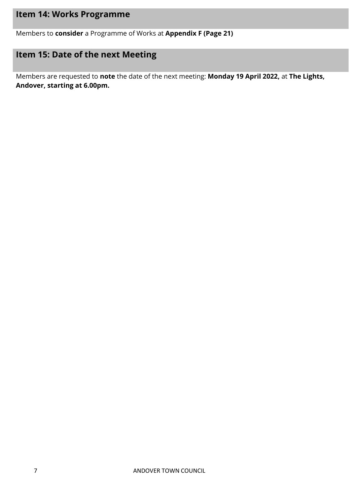# **Item 14: Works Programme**

Members to **consider** a Programme of Works at **Appendix F (Page 21)**

# **Item 15: Date of the next Meeting**

Members are requested to **note** the date of the next meeting: **Monday 19 April 2022,** at **The Lights, Andover, starting at 6.00pm.**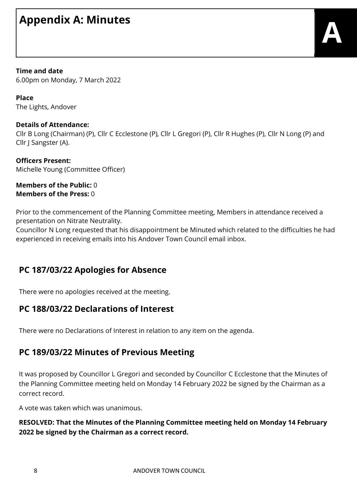# **Appendix A: Minutes**

#### **Time and date**

6.00pm on Monday, 7 March 2022

**Place** The Lights, Andover

## **Details of Attendance:**

Cllr B Long (Chairman) (P), Cllr C Ecclestone (P), Cllr L Gregori (P), Cllr R Hughes (P), Cllr N Long (P) and Cllr J Sangster (A).

**Officers Present:** Michelle Young (Committee Officer)

#### **Members of the Public:** 0 **Members of the Press:** 0

Prior to the commencement of the Planning Committee meeting, Members in attendance received a presentation on Nitrate Neutrality.

Councillor N Long requested that his disappointment be Minuted which related to the difficulties he had experienced in receiving emails into his Andover Town Council email inbox.

# **PC 187/03/22 Apologies for Absence**

There were no apologies received at the meeting.

## **PC 188/03/22 Declarations of Interest**

There were no Declarations of Interest in relation to any item on the agenda.

## **PC 189/03/22 Minutes of Previous Meeting**

It was proposed by Councillor L Gregori and seconded by Councillor C Ecclestone that the Minutes of the Planning Committee meeting held on Monday 14 February 2022 be signed by the Chairman as a correct record.

A vote was taken which was unanimous.

## **RESOLVED: That the Minutes of the Planning Committee meeting held on Monday 14 February 2022 be signed by the Chairman as a correct record.**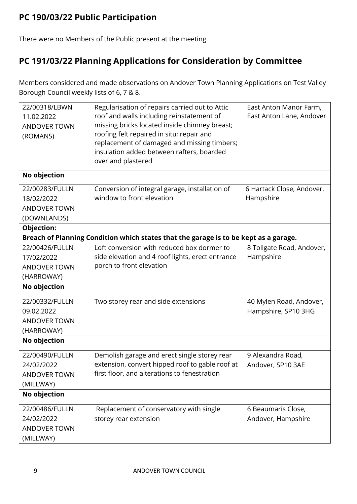# **PC 190/03/22 Public Participation**

There were no Members of the Public present at the meeting.

# **PC 191/03/22 Planning Applications for Consideration by Committee**

Members considered and made observations on Andover Town Planning Applications on Test Valley Borough Council weekly lists of 6, 7 & 8.

| 22/00318/LBWN<br>11.02.2022<br><b>ANDOVER TOWN</b><br>(ROMANS)     | Regularisation of repairs carried out to Attic<br>roof and walls including reinstatement of<br>missing bricks located inside chimney breast;<br>roofing felt repaired in situ; repair and<br>replacement of damaged and missing timbers;<br>insulation added between rafters, boarded<br>over and plastered | East Anton Manor Farm,<br>East Anton Lane, Andover |
|--------------------------------------------------------------------|-------------------------------------------------------------------------------------------------------------------------------------------------------------------------------------------------------------------------------------------------------------------------------------------------------------|----------------------------------------------------|
| No objection                                                       |                                                                                                                                                                                                                                                                                                             |                                                    |
| 22/00283/FULLN<br>18/02/2022<br><b>ANDOVER TOWN</b><br>(DOWNLANDS) | Conversion of integral garage, installation of<br>window to front elevation                                                                                                                                                                                                                                 | 6 Hartack Close, Andover,<br>Hampshire             |
| Objection:                                                         |                                                                                                                                                                                                                                                                                                             |                                                    |
|                                                                    | Breach of Planning Condition which states that the garage is to be kept as a garage.                                                                                                                                                                                                                        |                                                    |
| 22/00426/FULLN<br>17/02/2022                                       | Loft conversion with reduced box dormer to<br>side elevation and 4 roof lights, erect entrance<br>porch to front elevation                                                                                                                                                                                  | 8 Tollgate Road, Andover,<br>Hampshire             |
| <b>ANDOVER TOWN</b><br>(HARROWAY)                                  |                                                                                                                                                                                                                                                                                                             |                                                    |
| No objection                                                       |                                                                                                                                                                                                                                                                                                             |                                                    |
| 22/00332/FULLN<br>09.02.2022<br><b>ANDOVER TOWN</b><br>(HARROWAY)  | Two storey rear and side extensions                                                                                                                                                                                                                                                                         | 40 Mylen Road, Andover,<br>Hampshire, SP10 3HG     |
| No objection                                                       |                                                                                                                                                                                                                                                                                                             |                                                    |
| 22/00490/FULLN<br>24/02/2022<br><b>ANDOVER TOWN</b><br>(MILLWAY)   | Demolish garage and erect single storey rear<br>extension, convert hipped roof to gable roof at<br>first floor, and alterations to fenestration                                                                                                                                                             | 9 Alexandra Road,<br>Andover, SP10 3AE             |
| No objection                                                       |                                                                                                                                                                                                                                                                                                             |                                                    |
| 22/00486/FULLN<br>24/02/2022<br><b>ANDOVER TOWN</b><br>(MILLWAY)   | Replacement of conservatory with single<br>storey rear extension                                                                                                                                                                                                                                            | 6 Beaumaris Close,<br>Andover, Hampshire           |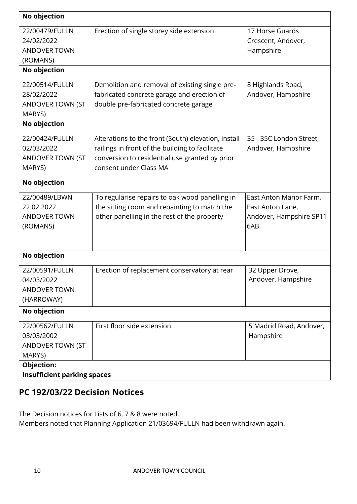| No objection                       |                                                     |                         |
|------------------------------------|-----------------------------------------------------|-------------------------|
| 22/00479/FULLN                     | Erection of single storey side extension            | 17 Horse Guards         |
| 24/02/2022                         |                                                     | Crescent, Andover,      |
| <b>ANDOVER TOWN</b>                |                                                     | Hampshire               |
| (ROMANS)                           |                                                     |                         |
| No objection                       |                                                     |                         |
| 22/00514/FULLN                     | Demolition and removal of existing single pre-      | 8 Highlands Road,       |
| 28/02/2022                         | fabricated concrete garage and erection of          | Andover, Hampshire      |
| ANDOVER TOWN (ST<br>MARYS)         | double pre-fabricated concrete garage               |                         |
| No objection                       |                                                     |                         |
| 22/00424/FULLN                     | Alterations to the front (South) elevation, install | 35 - 35C London Street, |
| 02/03/2022                         | railings in front of the building to facilitate     | Andover, Hampshire      |
| <b>ANDOVER TOWN (ST</b>            | conversion to residential use granted by prior      |                         |
| MARYS)                             | consent under Class MA                              |                         |
| No objection                       |                                                     |                         |
| 22/00489/LBWN                      | To regularise repairs to oak wood panelling in      | East Anton Manor Farm,  |
| 22.02.2022                         | the sitting room and repainting to match the        | East Anton Lane,        |
| <b>ANDOVER TOWN</b>                | other panelling in the rest of the property         | Andover, Hampshire SP11 |
| (ROMANS)                           |                                                     | 6AB                     |
|                                    |                                                     |                         |
| No objection                       |                                                     |                         |
| 22/00591/FULLN                     | Erection of replacement conservatory at rear        | 32 Upper Drove,         |
| 04/03/2022                         |                                                     | Andover, Hampshire      |
| <b>ANDOVER TOWN</b>                |                                                     |                         |
| (HARROWAY)                         |                                                     |                         |
| No objection                       |                                                     |                         |
| 22/00562/FULLN                     | First floor side extension                          | 5 Madrid Road, Andover, |
| 03/03/2002                         |                                                     | Hampshire               |
| ANDOVER TOWN (ST                   |                                                     |                         |
| MARYS)                             |                                                     |                         |
| Objection:                         |                                                     |                         |
| <b>Insufficient parking spaces</b> |                                                     |                         |

# **PC 192/03/22 Decision Notices**

The Decision notices for Lists of 6, 7 & 8 were noted. Members noted that Planning Application 21/03694/FULLN had been withdrawn again.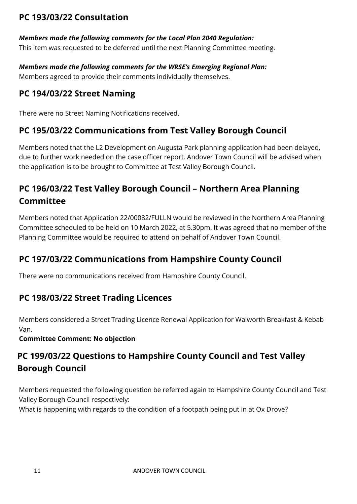# **PC 193/03/22 Consultation**

## *Members made the following comments for the Local Plan 2040 Regulation:*

This item was requested to be deferred until the next Planning Committee meeting.

*Members made the following comments for the WRSE's Emerging Regional Plan:* Members agreed to provide their comments individually themselves.

# **PC 194/03/22 Street Naming**

There were no Street Naming Notifications received.

# **PC 195/03/22 Communications from Test Valley Borough Council**

Members noted that the L2 Development on Augusta Park planning application had been delayed, due to further work needed on the case officer report. Andover Town Council will be advised when the application is to be brought to Committee at Test Valley Borough Council.

# **PC 196/03/22 Test Valley Borough Council – Northern Area Planning Committee**

Members noted that Application 22/00082/FULLN would be reviewed in the Northern Area Planning Committee scheduled to be held on 10 March 2022, at 5.30pm. It was agreed that no member of the Planning Committee would be required to attend on behalf of Andover Town Council.

# **PC 197/03/22 Communications from Hampshire County Council**

There were no communications received from Hampshire County Council.

# **PC 198/03/22 Street Trading Licences**

Members considered a Street Trading Licence Renewal Application for Walworth Breakfast & Kebab Van.

**Committee Comment: No objection**

# **PC 199/03/22 Questions to Hampshire County Council and Test Valley Borough Council**

Members requested the following question be referred again to Hampshire County Council and Test Valley Borough Council respectively:

What is happening with regards to the condition of a footpath being put in at Ox Drove?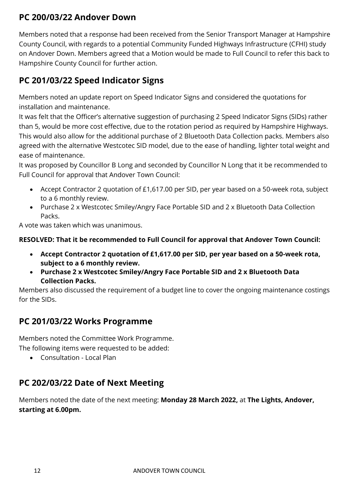# **PC 200/03/22 Andover Down**

Members noted that a response had been received from the Senior Transport Manager at Hampshire County Council, with regards to a potential Community Funded Highways Infrastructure (CFHI) study on Andover Down. Members agreed that a Motion would be made to Full Council to refer this back to Hampshire County Council for further action.

# **PC 201/03/22 Speed Indicator Signs**

Members noted an update report on Speed Indicator Signs and considered the quotations for installation and maintenance.

It was felt that the Officer's alternative suggestion of purchasing 2 Speed Indicator Signs (SIDs) rather than 5, would be more cost effective, due to the rotation period as required by Hampshire Highways. This would also allow for the additional purchase of 2 Bluetooth Data Collection packs. Members also agreed with the alternative Westcotec SID model, due to the ease of handling, lighter total weight and ease of maintenance.

It was proposed by Councillor B Long and seconded by Councillor N Long that it be recommended to Full Council for approval that Andover Town Council:

- Accept Contractor 2 quotation of £1,617.00 per SID, per year based on a 50-week rota, subject to a 6 monthly review.
- Purchase 2 x Westcotec Smiley/Angry Face Portable SID and 2 x Bluetooth Data Collection Packs.

A vote was taken which was unanimous.

## **RESOLVED: That it be recommended to Full Council for approval that Andover Town Council:**

- **Accept Contractor 2 quotation of £1,617.00 per SID, per year based on a 50-week rota, subject to a 6 monthly review.**
- **Purchase 2 x Westcotec Smiley/Angry Face Portable SID and 2 x Bluetooth Data Collection Packs.**

Members also discussed the requirement of a budget line to cover the ongoing maintenance costings for the SIDs.

# **PC 201/03/22 Works Programme**

Members noted the Committee Work Programme.

The following items were requested to be added:

Consultation - Local Plan

# **PC 202/03/22 Date of Next Meeting**

Members noted the date of the next meeting: **Monday 28 March 2022,** at **The Lights, Andover, starting at 6.00pm.**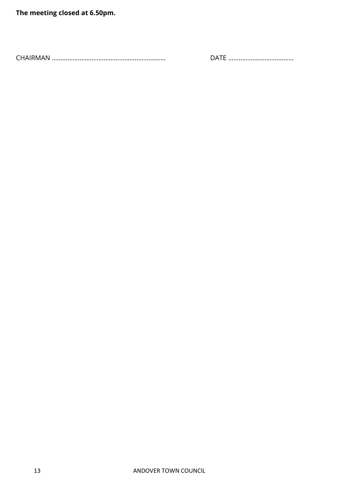**The meeting closed at 6.50pm.**

CHAIRMAN ………………………………………………………… DATE ………………………………..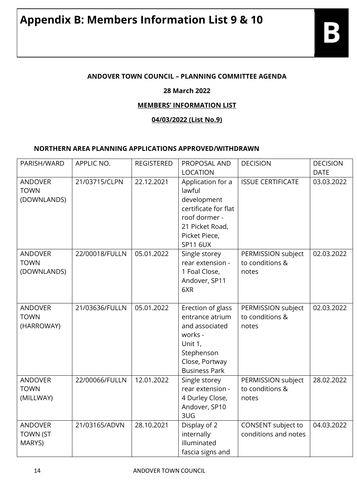## **ANDOVER TOWN COUNCIL – PLANNING COMMITTEE AGENDA**

## **28 March 2022**

## **MEMBERS' INFORMATION LIST**

## **04/03/2022 (List No.9)**

## **NORTHERN AREA PLANNING APPLICATIONS APPROVED/WITHDRAWN**

| PARISH/WARD                                  | APPLIC NO.     | <b>REGISTERED</b> | PROPOSAL AND                                                                                                                                                  | <b>DECISION</b>                                | <b>DECISION</b>           |
|----------------------------------------------|----------------|-------------------|---------------------------------------------------------------------------------------------------------------------------------------------------------------|------------------------------------------------|---------------------------|
| <b>ANDOVER</b><br><b>TOWN</b><br>(DOWNLANDS) | 21/03715/CLPN  | 22.12.2021        | <b>LOCATION</b><br>Application for a<br>lawful<br>development<br>certificate for flat<br>roof dormer -<br>21 Picket Road,<br>Picket Piece,<br><b>SP11 6UX</b> | <b>ISSUE CERTIFICATE</b>                       | <b>DATE</b><br>03.03.2022 |
| <b>ANDOVER</b><br><b>TOWN</b><br>(DOWNLANDS) | 22/00018/FULLN | 05.01.2022        | Single storey<br>rear extension -<br>1 Foal Close,<br>Andover, SP11<br>6XR                                                                                    | PERMISSION subject<br>to conditions &<br>notes | 02.03.2022                |
| <b>ANDOVER</b><br><b>TOWN</b><br>(HARROWAY)  | 21/03636/FULLN | 05.01.2022        | Erection of glass<br>entrance atrium<br>and associated<br>works -<br>Unit 1,<br>Stephenson<br>Close, Portway<br><b>Business Park</b>                          | PERMISSION subject<br>to conditions &<br>notes | 02.03.2022                |
| <b>ANDOVER</b><br><b>TOWN</b><br>(MILLWAY)   | 22/00066/FULLN | 12.01.2022        | Single storey<br>rear extension -<br>4 Durley Close,<br>Andover, SP10<br>3UG                                                                                  | PERMISSION subject<br>to conditions &<br>notes | 28.02.2022                |
| <b>ANDOVER</b><br><b>TOWN (ST</b><br>MARYS)  | 21/03165/ADVN  | 28.10.2021        | Display of 2<br>internally<br>illuminated<br>fascia signs and                                                                                                 | CONSENT subject to<br>conditions and notes     | 04.03.2022                |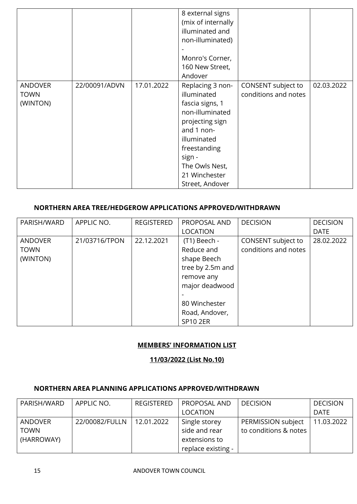|                                           |               |            | 8 external signs<br>(mix of internally<br>illuminated and<br>non-illuminated)<br>Monro's Corner,<br>160 New Street,<br>Andover                                                                        |                                            |            |
|-------------------------------------------|---------------|------------|-------------------------------------------------------------------------------------------------------------------------------------------------------------------------------------------------------|--------------------------------------------|------------|
| <b>ANDOVER</b><br><b>TOWN</b><br>(WINTON) | 22/00091/ADVN | 17.01.2022 | Replacing 3 non-<br>illuminated<br>fascia signs, 1<br>non-illuminated<br>projecting sign<br>and 1 non-<br>illuminated<br>freestanding<br>sign -<br>The Owls Nest,<br>21 Winchester<br>Street, Andover | CONSENT subject to<br>conditions and notes | 02.03.2022 |

## **NORTHERN AREA TREE/HEDGEROW APPLICATIONS APPROVED/WITHDRAWN**

| PARISH/WARD    | APPLIC NO.    | <b>REGISTERED</b> | PROPOSAL AND     | <b>DECISION</b>      | <b>DECISION</b> |
|----------------|---------------|-------------------|------------------|----------------------|-----------------|
|                |               |                   | <b>LOCATION</b>  |                      | <b>DATE</b>     |
| <b>ANDOVER</b> | 21/03716/TPON | 22.12.2021        | (T1) Beech -     | CONSENT subject to   | 28.02.2022      |
| <b>TOWN</b>    |               |                   | Reduce and       | conditions and notes |                 |
| (WINTON)       |               |                   | shape Beech      |                      |                 |
|                |               |                   | tree by 2.5m and |                      |                 |
|                |               |                   | remove any       |                      |                 |
|                |               |                   | major deadwood   |                      |                 |
|                |               |                   |                  |                      |                 |
|                |               |                   | 80 Winchester    |                      |                 |
|                |               |                   | Road, Andover,   |                      |                 |
|                |               |                   | <b>SP10 2ER</b>  |                      |                 |

## **MEMBERS' INFORMATION LIST**

#### **11/03/2022 (List No.10)**

#### **NORTHERN AREA PLANNING APPLICATIONS APPROVED/WITHDRAWN**

| PARISH/WARD    | APPLIC NO.     | <b>REGISTERED</b> | <b>PROPOSAL AND</b> | <b>DECISION</b>       | <b>DECISION</b> |
|----------------|----------------|-------------------|---------------------|-----------------------|-----------------|
|                |                |                   | LOCATION            |                       | <b>DATE</b>     |
|                |                |                   |                     |                       |                 |
| <b>ANDOVER</b> | 22/00082/FULLN | 12.01.2022        | Single storey       | PERMISSION subject    | 11.03.2022      |
| <b>TOWN</b>    |                |                   | side and rear       | to conditions & notes |                 |
| (HARROWAY)     |                |                   | extensions to       |                       |                 |
|                |                |                   | replace existing -  |                       |                 |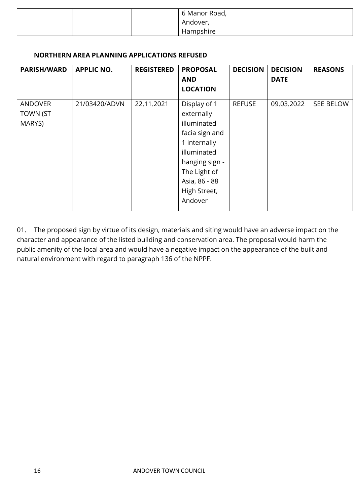|  | 6 Manor Road, |  |
|--|---------------|--|
|  | Andover,      |  |
|  | Hampshire     |  |

#### **NORTHERN AREA PLANNING APPLICATIONS REFUSED**

| <b>PARISH/WARD</b>                          | <b>APPLIC NO.</b> | <b>REGISTERED</b> | <b>PROPOSAL</b><br><b>AND</b><br><b>LOCATION</b>                                                                                                                         | <b>DECISION</b> | <b>DECISION</b><br><b>DATE</b> | <b>REASONS</b> |
|---------------------------------------------|-------------------|-------------------|--------------------------------------------------------------------------------------------------------------------------------------------------------------------------|-----------------|--------------------------------|----------------|
| <b>ANDOVER</b><br><b>TOWN (ST</b><br>MARYS) | 21/03420/ADVN     | 22.11.2021        | Display of 1<br>externally<br>illuminated<br>facia sign and<br>1 internally<br>illuminated<br>hanging sign -<br>The Light of<br>Asia, 86 - 88<br>High Street,<br>Andover | <b>REFUSE</b>   | 09.03.2022                     | SEE BELOW      |

01. The proposed sign by virtue of its design, materials and siting would have an adverse impact on the character and appearance of the listed building and conservation area. The proposal would harm the public amenity of the local area and would have a negative impact on the appearance of the built and natural environment with regard to paragraph 136 of the NPPF.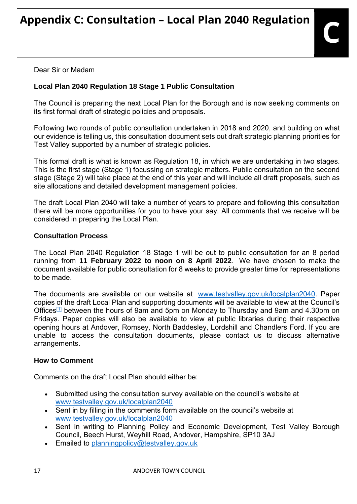Dear Sir or Madam

# **Local Plan 2040 Regulation 18 Stage 1 Public Consultation**

The Council is preparing the next Local Plan for the Borough and is now seeking comments on its first formal draft of strategic policies and proposals.

Following two rounds of public consultation undertaken in 2018 and 2020, and building on what our evidence is telling us, this consultation document sets out draft strategic planning priorities for Test Valley supported by a number of strategic policies.

This formal draft is what is known as Regulation 18, in which we are undertaking in two stages. This is the first stage (Stage 1) focussing on strategic matters. Public consultation on the second stage (Stage 2) will take place at the end of this year and will include all draft proposals, such as site allocations and detailed development management policies.

The draft Local Plan 2040 will take a number of years to prepare and following this consultation there will be more opportunities for you to have your say. All comments that we receive will be considered in preparing the Local Plan.

## **Consultation Process**

The Local Plan 2040 Regulation 18 Stage 1 will be out to public consultation for an 8 period running from **11 February 2022 to noon on 8 April 2022**. We have chosen to make the document available for public consultation for 8 weeks to provide greater time for representations to be made.

The documents are available on our website at [www.testvalley.gov.uk/localplan2040.](https://protect-eu.mimecast.com/s/u1Y8CEZQYsW0Ziw_Z9A?domain=testvalley.gov.uk) Paper copies of the draft Local Plan and supporting documents will be available to view at the Council's Offices<sup>[\[1\]](https://outlook.office.com/mail/inbox/id/AAMkADk4OTBkMWE0LTA3YzQtNGM2MC1iZjI3LWY3NTA2YjQ1ZDcwYwBGAAAAAADCarLxpdNDS4uwzDCjeATVBwAllxgQ5xZKT6taazcY019aAAAAAAEMAAAllxgQ5xZKT6taazcY019aAAC5khImAAA%3D#x__ftn1)</sup> between the hours of 9am and 5pm on Monday to Thursday and 9am and 4.30pm on Fridays. Paper copies will also be available to view at public libraries during their respective opening hours at Andover, Romsey, North Baddesley, Lordshill and Chandlers Ford. If you are unable to access the consultation documents, please contact us to discuss alternative arrangements.

## **How to Comment**

Comments on the draft Local Plan should either be:

- Submitted using the consultation survey available on the council's website at [www.testvalley.gov.uk/localplan2040](https://protect-eu.mimecast.com/s/u1Y8CEZQYsW0Ziw_Z9A?domain=testvalley.gov.uk)
- Sent in by filling in the comments form available on the council's website at [www.testvalley.gov.uk/localplan2040](https://protect-eu.mimecast.com/s/u1Y8CEZQYsW0Ziw_Z9A?domain=testvalley.gov.uk)
- Sent in writing to Planning Policy and Economic Development, Test Valley Borough Council, Beech Hurst, Weyhill Road, Andover, Hampshire, SP10 3AJ
- **Emailed to [planningpolicy@testvalley.gov.uk](mailto:planningpolicy@testvalley.gov.uk)**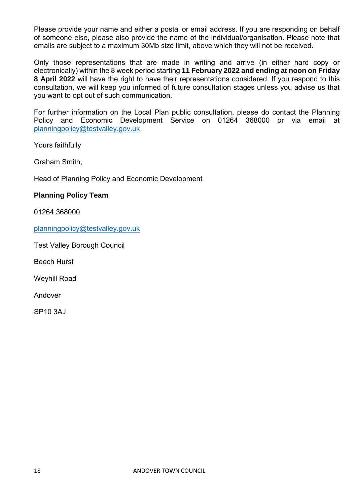Please provide your name and either a postal or email address. If you are responding on behalf of someone else, please also provide the name of the individual/organisation. Please note that emails are subject to a maximum 30Mb size limit, above which they will not be received.

Only those representations that are made in writing and arrive (in either hard copy or electronically) within the 8 week period starting **11 February 2022 and ending at noon on Friday 8 April 2022** will have the right to have their representations considered. If you respond to this consultation, we will keep you informed of future consultation stages unless you advise us that you want to opt out of such communication.

For further information on the Local Plan public consultation, please do contact the Planning Policy and Economic Development Service on 01264 368000 or via email at [planningpolicy@testvalley.gov.uk.](mailto:planningpolicy@testvalley.gov.uk)

Yours faithfully

Graham Smith,

Head of Planning Policy and Economic Development

#### **Planning Policy Team**

01264 368000

[planningpolicy@testvalley.gov.uk](mailto:planningpolicy@testvalley.gov.uk)

Test Valley Borough Council

Beech Hurst

Weyhill Road

Andover

SP10 3AJ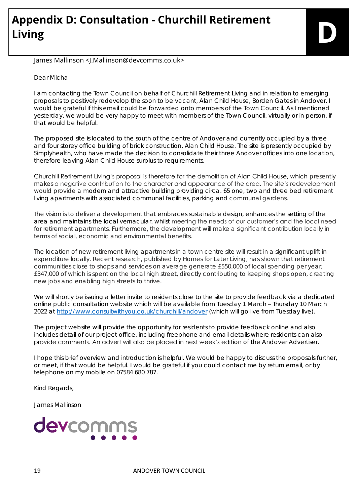# **Appendix D: Consultation - Churchill Retirement Living D**

## James Mallinson <J.Mallinson@devcomms.co.uk>

#### Dear Micha

I am contacting the Town Council on behalf of Churchill Retirement Living and in relation to emerging proposals to positively redevelop the soon to be vacant, Alan Child House, Borden Gates in Andover. I would be grateful if this email could be forwarded onto members of the Town Council. As I mentioned yesterday, we would be very happy to meet with members of the Town Council, virtually or in person, if that would be helpful.

The proposed site is located to the south of the centre of Andover and currently occupied by a three and four storey office building of brick construction, Alan Child House. The site is presently occupied by Simplyhealth, who have made the decision to consolidate their three Andover offices into one location, therefore leaving Alan Child House surplus to requirements.

Churchill Retirement Living's proposal is therefore for the demolition of Alan Child House, which presently makes a negative contribution to the character and appearance of the area. The site's redevelopment would provide a modern and attractive building providing circa. 65 one, two and three bed retirement living apartments with associated communal facilities, parking and communal gardens.

The vision is to deliver a development that embraces sustainable design, enhances the setting of the area and maintains the local vernacular, whilst meeting the needs of our customer's and the local need for retirement apartments. Furthermore, the development will make a significant contribution locally in terms of social, economic and environmental benefits.

The location of new retirement living apartments in a town centre site will result in a significant uplift in expenditure locally. Recent research, published by Homes for Later Living, has shown that retirement communities close to shops and services on average generate £550,000 of local spending per year, £347,000 of which is spent on the local high street, directly contributing to keeping shops open, creating new jobs and enabling high streets to thrive.

We will shortly be issuing a letter invite to residents close to the site to provide feedback via a dedicated online public consultation website which will be available from Tuesday 1 March – Thursday 10 March 2022 at [http://www.consultwithyou.co.uk/churchill/andover](https://protect-eu.mimecast.com/s/4Y0xC5l0Bh0zQUzF62o?domain=consultwithyou.co.uk) (which will go live from Tuesday live).

The project website will provide the opportunity for residents to provide feedback online and also includes detail of our project office, including freephone and email details where residents can also provide comments. An advert will also be placed in next week's edition of the Andover Advertiser.

I hope this brief overview and introduction is helpful. We would be happy to discuss the proposals further, or meet, if that would be helpful. I would be grateful if you could contact me by return email, or by telephone on my mobile on 07584 680 787.

Kind Regards,

James Mallinson

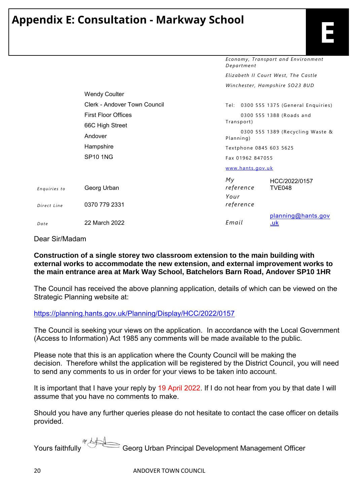# **Appendix E: Consultation - Markway School**

*Economy, Tran sport an d En vironment* 

|                             |                                     | Department<br>Elizabeth II Court West, The Castle                        |                                        |
|-----------------------------|-------------------------------------|--------------------------------------------------------------------------|----------------------------------------|
|                             |                                     |                                                                          |                                        |
|                             |                                     |                                                                          | Winchester, Hampshire SO23 8UD         |
|                             | <b>Wendy Coulter</b>                |                                                                          |                                        |
|                             | <b>Clerk - Andover Town Council</b> |                                                                          | Tel: 0300 555 1375 (General Enquiries) |
|                             | <b>First Floor Offices</b>          |                                                                          | 0300 555 1388 (Roads and               |
|                             | 66C High Street                     | Transport)                                                               |                                        |
|                             | Andover                             | 0300 555 1389 (Recycling Waste &<br>Planning)<br>Textphone 0845 603 5625 |                                        |
|                             | Hampshire                           |                                                                          |                                        |
|                             | <b>SP10 1NG</b>                     | Fax 01962 847055                                                         |                                        |
|                             |                                     | www.hants.gov.uk                                                         |                                        |
| Enquiries to<br>Direct Line | Georg Urban<br>0370 779 2331        | Мy<br>reference<br>Your<br>reference                                     | HCC/2022/0157<br>TVE048                |
| Date                        | 22 March 2022                       | Email                                                                    | planning@hants.gov<br><u>.uk</u>       |
|                             |                                     |                                                                          |                                        |

Dear Sir/Madam

#### **Construction of a single storey two classroom extension to the main building with external works to accommodate the new extension, and external improvement works to the main entrance area at Mark Way School, Batchelors Barn Road, Andover SP10 1HR**

The Council has received the above planning application, details of which can be viewed on the Strategic Planning website at:

[https://planning.hants.gov.uk/Planning/Display/HCC/2022/0157](https://protect-eu.mimecast.com/s/teEdCovJ3TX0nuVzW7E?domain=planning.hants.gov.uk)

The Council is seeking your views on the application. In accordance with the Local Government (Access to Information) Act 1985 any comments will be made available to the public.

Please note that this is an application where the County Council will be making the decision. Therefore whilst the application will be registered by the District Council, you will need to send any comments to us in order for your views to be taken into account.

It is important that I have your reply by 19 April 2022. If I do not hear from you by that date I will assume that you have no comments to make.

Should you have any further queries please do not hesitate to contact the case officer on details provided.

Yours faithfully Georg Urban Principal Development Management Officer

20 ANDOVER TOWN COUNCIL